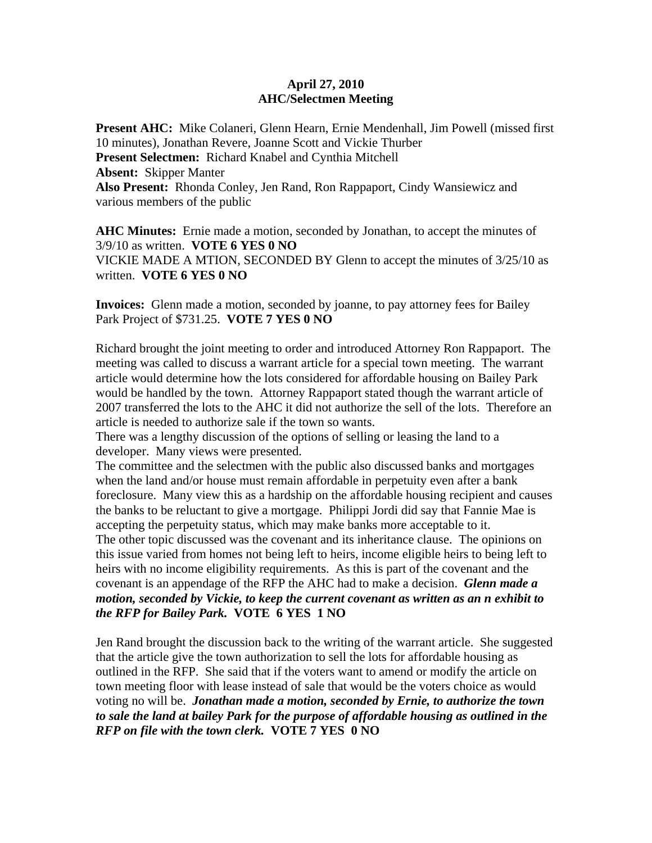## **April 27, 2010 AHC/Selectmen Meeting**

**Present AHC:** Mike Colaneri, Glenn Hearn, Ernie Mendenhall, Jim Powell (missed first 10 minutes), Jonathan Revere, Joanne Scott and Vickie Thurber **Present Selectmen:** Richard Knabel and Cynthia Mitchell **Absent:** Skipper Manter **Also Present:** Rhonda Conley, Jen Rand, Ron Rappaport, Cindy Wansiewicz and various members of the public

**AHC Minutes:** Ernie made a motion, seconded by Jonathan, to accept the minutes of 3/9/10 as written. **VOTE 6 YES 0 NO**  VICKIE MADE A MTION, SECONDED BY Glenn to accept the minutes of 3/25/10 as written. **VOTE 6 YES 0 NO** 

**Invoices:** Glenn made a motion, seconded by joanne, to pay attorney fees for Bailey Park Project of \$731.25. **VOTE 7 YES 0 NO** 

Richard brought the joint meeting to order and introduced Attorney Ron Rappaport. The meeting was called to discuss a warrant article for a special town meeting. The warrant article would determine how the lots considered for affordable housing on Bailey Park would be handled by the town. Attorney Rappaport stated though the warrant article of 2007 transferred the lots to the AHC it did not authorize the sell of the lots. Therefore an article is needed to authorize sale if the town so wants.

There was a lengthy discussion of the options of selling or leasing the land to a developer. Many views were presented.

The committee and the selectmen with the public also discussed banks and mortgages when the land and/or house must remain affordable in perpetuity even after a bank foreclosure. Many view this as a hardship on the affordable housing recipient and causes the banks to be reluctant to give a mortgage. Philippi Jordi did say that Fannie Mae is accepting the perpetuity status, which may make banks more acceptable to it. The other topic discussed was the covenant and its inheritance clause. The opinions on this issue varied from homes not being left to heirs, income eligible heirs to being left to heirs with no income eligibility requirements. As this is part of the covenant and the covenant is an appendage of the RFP the AHC had to make a decision. *Glenn made a motion, seconded by Vickie, to keep the current covenant as written as an n exhibit to the RFP for Bailey Park.* **VOTE 6 YES 1 NO** 

Jen Rand brought the discussion back to the writing of the warrant article. She suggested that the article give the town authorization to sell the lots for affordable housing as outlined in the RFP. She said that if the voters want to amend or modify the article on town meeting floor with lease instead of sale that would be the voters choice as would voting no will be. *Jonathan made a motion, seconded by Ernie, to authorize the town to sale the land at bailey Park for the purpose of affordable housing as outlined in the RFP on file with the town clerk.* **VOTE 7 YES 0 NO**